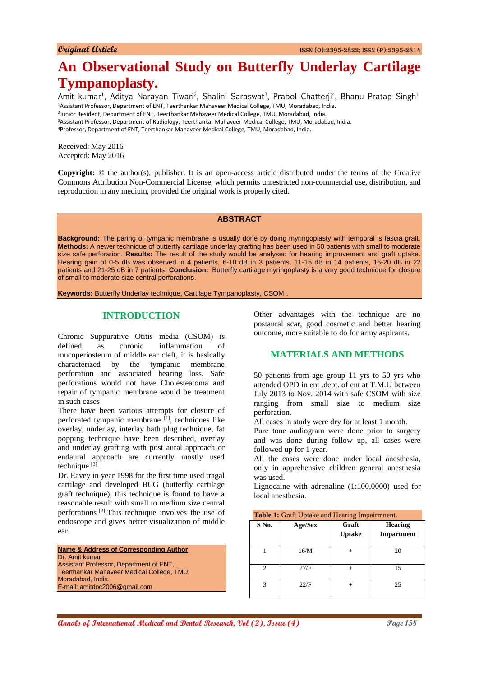# **An Observational Study on Butterfly Underlay Cartilage Tympanoplasty.**

Amit kumar<sup>1</sup>, Aditya Narayan Tiwari<sup>2</sup>, Shalini Saraswat<sup>3</sup>, Prabol Chatterji<sup>4</sup>, Bhanu Pratap Singh<sup>1</sup> Assistant Professor, Department of ENT, Teerthankar Mahaveer Medical College, TMU, Moradabad, India. Junior Resident, Department of ENT, Teerthankar Mahaveer Medical College, TMU, Moradabad, India. Assistant Professor, Department of Radiology, Teerthankar Mahaveer Medical College, TMU, Moradabad, India. Professor, Department of ENT, Teerthankar Mahaveer Medical College, TMU, Moradabad, India.

Received: May 2016 Accepted: May 2016

**Copyright:** © the author(s), publisher. It is an open-access article distributed under the terms of the Creative Commons Attribution Non-Commercial License, which permits unrestricted non-commercial use, distribution, and reproduction in any medium, provided the original work is properly cited.

#### **ABSTRACT**

**Background:** The paring of tympanic membrane is usually done by doing myringoplasty with temporal is fascia graft. **Methods:** A newer technique of butterfly cartilage underlay grafting has been used in 50 patients with small to moderate size safe perforation. **Results:** The result of the study would be analysed for hearing improvement and graft uptake. Hearing gain of 0-5 dB was observed in 4 patients, 6-10 dB in 3 patients, 11-15 dB in 14 patients, 16-20 dB in 22 patients and 21-25 dB in 7 patients. **Conclusion:** Butterfly cartilage myringoplasty is a very good technique for closure of small to moderate size central perforations.

**Keywords:** Butterfly Underlay technique, Cartilage Tympanoplasty, CSOM .

#### **INTRODUCTION**

Chronic Suppurative Otitis media (CSOM) is defined as chronic inflammation of mucoperiosteum of middle ear cleft, it is basically characterized by the tympanic membrane perforation and associated hearing loss. Safe perforations would not have Cholesteatoma and repair of tympanic membrane would be treatment in such cases

There have been various attempts for closure of perforated tympanic membrane  $[1]$ , techniques like overlay, underlay, interlay bath plug technique, fat popping technique have been described, overlay and underlay grafting with post aural approach or endaural approach are currently mostly used technique  $^{[3]}$ .

Dr. Eavey in year 1998 for the first time used tragal cartilage and developed BCG (butterfly cartilage graft technique), this technique is found to have a reasonable result with small to medium size central perforations [2].This technique involves the use of endoscope and gives better visualization of middle ear.

**Name & Address of Corresponding Author** Dr. Amit kumar Assistant Professor, Department of ENT, Teerthankar Mahaveer Medical College, TMU, Moradabad, India. E-mail: amitdoc2006@gmail.com

Other advantages with the technique are no postaural scar, good cosmetic and better hearing outcome, more suitable to do for army aspirants.

# **MATERIALS AND METHODS**

50 patients from age group 11 yrs to 50 yrs who attended OPD in ent .dept. of ent at T.M.U between July 2013 to Nov. 2014 with safe CSOM with size ranging from small size to medium size perforation.

All cases in study were dry for at least 1 month.

Pure tone audiogram were done prior to surgery and was done during follow up, all cases were followed up for 1 year.

All the cases were done under local anesthesia, only in apprehensive children general anesthesia was used.

Lignocaine with adrenaline (1:100,0000) used for local anesthesia.

| <b>Table 1:</b> Graft Uptake and Hearing Impairmnent. |         |                        |                                     |  |
|-------------------------------------------------------|---------|------------------------|-------------------------------------|--|
| S No.                                                 | Age/Sex | Graft<br><b>Uptake</b> | <b>Hearing</b><br><b>Impartment</b> |  |
|                                                       | 16/M    |                        | 20                                  |  |
| 2                                                     | 27/F    |                        | 15                                  |  |
| 3                                                     | 22/F    |                        | 25                                  |  |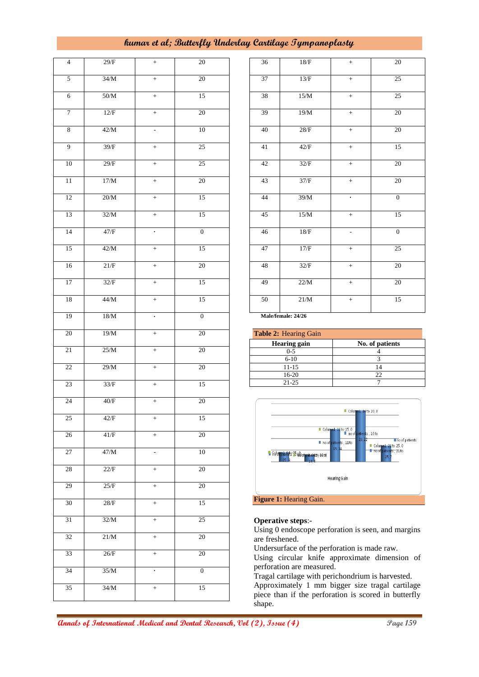# **kumar et al; Butterfly Underlay Cartilage Tympanoplasty**

| $\overline{\mathbf{4}}$ | 29/F   | $\qquad \qquad +$    | $20\,$           |
|-------------------------|--------|----------------------|------------------|
| 5                       | 34/M   | $+$                  | 20               |
| $\overline{6}$          | $50/M$ | $\ddot{}$            | 15               |
| $\boldsymbol{7}$        | 12/F   | $\ddot{}$            | 20               |
| $\boldsymbol{8}$        | 42/M   | $\blacksquare$       | 10               |
| 9                       | 39/F   | $+$                  | 25               |
| 10                      | $29/F$ | $+$                  | 25               |
| $\overline{11}$         | 17/M   | $\overline{+}$       | $20\,$           |
| 12                      | $20/M$ | $\ddot{}$            | 15               |
| 13                      | 32/M   | $\ddot{}$            | 15               |
| 14                      | $47/F$ | $\ddot{\phantom{0}}$ | $\overline{0}$   |
| 15                      | $42/M$ | $\ddot{}$            | 15               |
| 16                      | $21/F$ | $\qquad \qquad +$    | 20               |
| 17                      | 32/F   | $\qquad \qquad +$    | 15               |
| 18                      | $44/M$ | $\qquad \qquad +$    | 15               |
| 19                      | $18/M$ | $\ddot{\phantom{0}}$ | $\boldsymbol{0}$ |
| 20                      | 19/M   | $\qquad \qquad +$    | 20               |
| $\overline{21}$         | 25/M   | $\ddot{}$            | 20               |
| $\overline{22}$         | 29/M   | $\ddot{}$            | 20               |
| 23                      | $33/F$ | $\overline{+}$       | $\overline{15}$  |
| 24                      | $40/F$ | $\qquad \qquad +$    | $\overline{20}$  |
| 25                      | $42/F$ | $^+$                 | 15               |
| $\overline{26}$         | $41/F$ | $^{+}$               | 20               |
| $\overline{27}$         | 47/M   |                      | 10               |
| $28\,$                  | 22/F   | $\ddot{}$            | 20               |
| 29                      | 25/F   | $\ddot{}$            | $\overline{20}$  |
| $\overline{30}$         | $28/F$ | $^{+}$               | 15               |
| 31                      | 32/M   | $^{+}$               | 25               |
| 32                      | 21/M   | $^{+}$               | $20\,$           |
| 33                      | $26/F$ | $^{+}$               | $20\,$           |
| 34                      | 35/M   | $\ddot{\phantom{0}}$ | $\overline{0}$   |
| $\overline{35}$         | 34/M   | $^{+}$               | $\overline{15}$  |
|                         |        |                      |                  |

| 36              | 18/F   | $+$               | 20               |
|-----------------|--------|-------------------|------------------|
| 37              | 13/F   | $\ddot{}$         | 25               |
| 38              | 15/M   | $\ddot{}$         | 25               |
| $\overline{3}9$ | 19/M   | $^+$              | $\overline{2}0$  |
| 40              | $28/F$ | $+$               | 20               |
| 41              | 42/F   | $\qquad \qquad +$ | 15               |
| 42              | 32/F   | $\ddot{}$         | $20\,$           |
| 43              | $37/F$ | $^+$              | $\overline{20}$  |
| 44              | 39/M   |                   | $\boldsymbol{0}$ |
| 45              | 15/M   | $\ddot{}$         | 15               |
| 46              | $18/F$ | $\overline{a}$    | $\overline{0}$   |
| 47              | 17/F   | $\boldsymbol{+}$  | 25               |
| 48              | 32/F   | $+$               | 20               |
| 49              | 22/M   | $\qquad \qquad +$ | 20               |
| 50              | $21/M$ | $\qquad \qquad +$ | 15               |
|                 |        |                   |                  |

 **Male/female: 24/26**

| <b>Table 2: Hearing Gain</b> |                 |  |
|------------------------------|-----------------|--|
| <b>Hearing gain</b>          | No. of patients |  |
| $0 - 5$                      |                 |  |
| $6 - 10$                     |                 |  |
| 11-15                        |                 |  |
| $16-20$                      |                 |  |
| $21 - 25$                    |                 |  |



#### **Operative steps**:-

Using 0 endoscope perforation is seen, and margins are freshened.

Undersurface of the perforation is made raw.

Using circular knife approximate dimension of perforation are measured.

Tragal cartilage with perichondrium is harvested. Approximately 1 mm bigger size tragal cartilage piece than if the perforation is scored in butterfly shape.